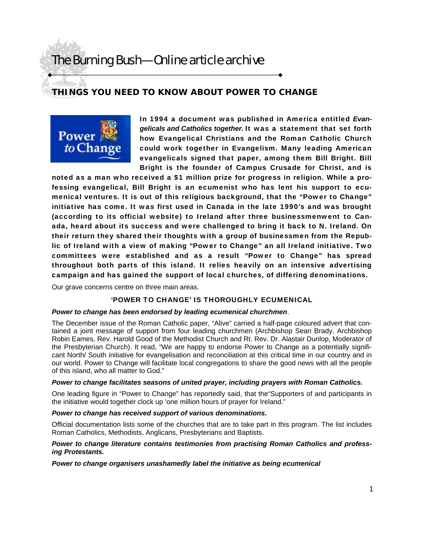# **THINGS YOU NEED TO KNOW ABOUT POWER TO CHANGE**

Power to Change In 1994 a document was published in America entitled *Evangelicals and Catholics together.* It was a statement that set forth how Evangelical Christians and the Roman Catholic Church could work together in Evangelism. Many leading American evangelicals signed that paper, among them Bill Bright. Bill Bright is the founder of Campus Crusade for Christ, and is

noted as a man who received a \$1 million prize for progress in religion. While a professing evangelical, Bill Bright is an ecumenist who has lent his support to ecumenical ventures. It is out of this religious background, that the "Power to Change" initiative has come. It was first used in Canada in the late 1990's and was brought (according to its official website) to Ireland after three businessmenwent to Canada, heard about its success and were challenged to bring it back to N. Ireland. On their return they shared their thoughts with a group of businessmen from the Republic of Ireland with a view of making "Power to Change" an all Ireland initiative. Two committees were established and as a result "Power to Change" has spread throughout both parts of this island. It relies heavily on an intensive advertising campaign and has gained the support of local churches, of differing denominations.

Our grave concerns centre on three main areas.

### 'POWER TO CHANGE' IS THOROUGHLY ECUMENICAL

### *Power to change has been endorsed by leading ecumenical churchmen*.

The December issue of the Roman Catholic paper, "Alive" carried a half-page coloured advert that contained a joint message of support from four leading churchmen (Archbishop Sean Brady, Archbishop Robin Eames, Rev. Harold Good of the Methodist Church and Rt. Rev. Dr. Alastair Dunlop, Moderator of the Presbyterian Church). It read, "We are happy to endorse Power to Change as a potentially significant North/ South initiative for evangelisation and reconciliation at this critical time in our country and in our world. Power to Change will facilitate local congregations to share the good news with all the people of this island, who all matter to God."

#### *Power to change facilitates seasons of united prayer, including prayers with Roman Catholics.*

One leading figure in "Power to Change" has reportedly said, that the"Supporters of and participants in the initiative would together clock up 'one million hours of prayer for Ireland."

### *Power to change has received support of various denominations.*

Official documentation lists some of the churches that are to take part in this program. The list includes Roman Catholics, Methodists, Anglicans, Presbyterians and Baptists.

### *Power to change literature contains testimonies from practising Roman Catholics and professing Protestants.*

*Power to change organisers unashamedly label the initiative as being ecumenical*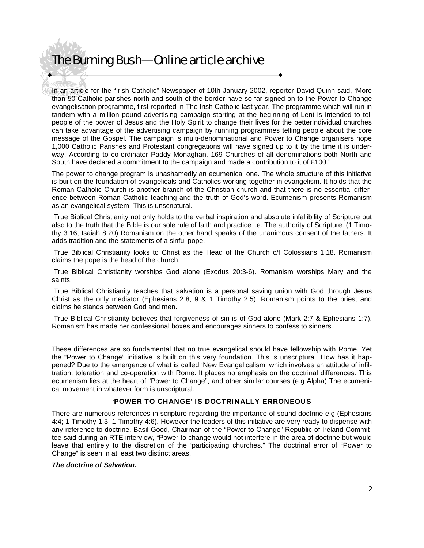In an article for the "Irish Catholic" Newspaper of 10th January 2002, reporter David Quinn said, 'More than 50 Catholic parishes north and south of the border have so far signed on to the Power to Change evangelisation programme, first reported in The Irish Catholic last year. The programme which will run in tandem with a million pound advertising campaign starting at the beginning of Lent is intended to tell people of the power of Jesus and the Holy Spirit to change their lives for the betterIndividual churches can take advantage of the advertising campaign by running programmes telling people about the core message of the Gospel. The campaign is multi-denominational and Power to Change organisers hope 1,000 Catholic Parishes and Protestant congregations will have signed up to it by the time it is underway. According to co-ordinator Paddy Monaghan, 169 Churches of all denominations both North and South have declared a commitment to the campaign and made a contribution to it of £100."

The power to change program is unashamedly an ecumenical one. The whole structure of this initiative is built on the foundation of evangelicals and Catholics working together in evangelism. It holds that the Roman Catholic Church is another branch of the Christian church and that there is no essential difference between Roman Catholic teaching and the truth of God's word. Ecumenism presents Romanism as an evangelical system. This is unscriptural.

 True Biblical Christianity not only holds to the verbal inspiration and absolute infallibility of Scripture but also to the truth that the Bible is our sole rule of faith and practice i.e. The authority of Scripture. (1 Timothy 3:16; Isaiah 8:20) Romanism on the other hand speaks of the unanimous consent of the fathers. It adds tradition and the statements of a sinful pope.

 True Biblical Christianity looks to Christ as the Head of the Church c/f Colossians 1:18. Romanism claims the pope is the head of the church.

 True Biblical Christianity worships God alone (Exodus 20:3-6). Romanism worships Mary and the saints.

 True Biblical Christianity teaches that salvation is a personal saving union with God through Jesus Christ as the only mediator (Ephesians 2:8, 9 & 1 Timothy 2:5). Romanism points to the priest and claims he stands between God and men.

 True Biblical Christianity believes that forgiveness of sin is of God alone (Mark 2:7 & Ephesians 1:7). Romanism has made her confessional boxes and encourages sinners to confess to sinners.

These differences are so fundamental that no true evangelical should have fellowship with Rome. Yet the "Power to Change" initiative is built on this very foundation. This is unscriptural. How has it happened? Due to the emergence of what is called 'New Evangelicalism' which involves an attitude of infiltration, toleration and co-operation with Rome. It places no emphasis on the doctrinal differences. This ecumenism lies at the heart of "Power to Change", and other similar courses (e.g Alpha) The ecumenical movement in whatever form is unscriptural.

## 'POWER TO CHANGE' IS DOCTRINALLY ERRONEOUS

There are numerous references in scripture regarding the importance of sound doctrine e.g (Ephesians 4:4; 1 Timothy 1:3; 1 Timothy 4:6). However the leaders of this initiative are very ready to dispense with any reference to doctrine. Basil Good, Chairman of the "Power to Change" Republic of Ireland Committee said during an RTE interview, "Power to change would not interfere in the area of doctrine but would leave that entirely to the discretion of the 'participating churches." The doctrinal error of "Power to Change" is seen in at least two distinct areas.

#### *The doctrine of Salvation.*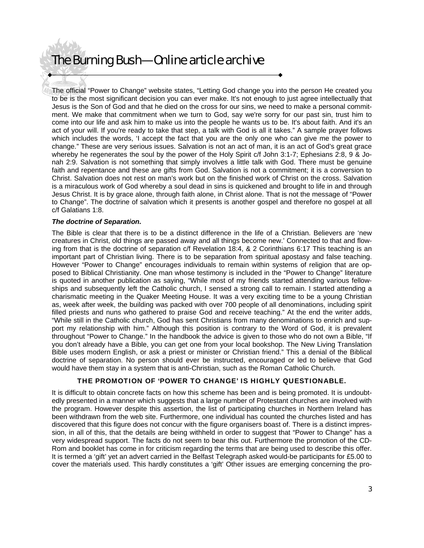The official "Power to Change" website states, "Letting God change you into the person He created you to be is the most significant decision you can ever make. It's not enough to just agree intellectually that Jesus is the Son of God and that he died on the cross for our sins, we need to make a personal commitment. We make that commitment when we turn to God, say we're sorry for our past sin, trust him to come into our life and ask him to make us into the people he wants us to be. It's about faith. And it's an act of your will. If you're ready to take that step, a talk with God is all it takes." A sample prayer follows which includes the words, 'I accept the fact that you are the only one who can give me the power to change." These are very serious issues. Salvation is not an act of man, it is an act of God's great grace whereby he regenerates the soul by the power of the Holy Spirit c/f John 3:1-7; Ephesians 2:8, 9 & Jonah 2:9. Salvation is not something that simply involves a little talk with God. There must be genuine faith and repentance and these are gifts from God. Salvation is not a commitment; it is a conversion to Christ. Salvation does not rest on man's work but on the finished work of Christ on the cross. Salvation is a miraculous work of God whereby a soul dead in sins is quickened and brought to life in and through Jesus Christ. It is by grace alone, through faith alone, in Christ alone. That is not the message of "Power to Change". The doctrine of salvation which it presents is another gospel and therefore no gospel at all c/f Galatians 1:8.

### *The doctrine of Separation.*

The Bible is clear that there is to be a distinct difference in the life of a Christian. Believers are 'new creatures in Christ, old things are passed away and all things become new.' Connected to that and flowing from that is the doctrine of separation c/f Revelation 18:4, & 2 Corinthians 6:17 This teaching is an important part of Christian living. There is to be separation from spiritual apostasy and false teaching. However "Power to Change" encourages individuals to remain within systems of religion that are opposed to Biblical Christianity. One man whose testimony is included in the "Power to Change" literature is quoted in another publication as saying, "While most of my friends started attending various fellowships and subsequently left the Catholic church, I sensed a strong call to remain. I started attending a charismatic meeting in the Quaker Meeting House. It was a very exciting time to be a young Christian as, week after week, the building was packed with over 700 people of all denominations, including spirit filled priests and nuns who gathered to praise God and receive teaching." At the end the writer adds, "While still in the Catholic church, God has sent Christians from many denominations to enrich and support my relationship with him." Although this position is contrary to the Word of God, it is prevalent throughout "Power to Change." In the handbook the advice is given to those who do not own a Bible, "If you don't already have a Bible, you can get one from your local bookshop. The New Living Translation Bible uses modern English, or ask a priest or minister or Christian friend." This a denial of the Biblical doctrine of separation. No person should ever be instructed, encouraged or led to believe that God would have them stay in a system that is anti-Christian, such as the Roman Catholic Church.

### THE PROMOTION OF 'POWER TO CHANGE' IS HIGHLY QUESTIONABLE.

It is difficult to obtain concrete facts on how this scheme has been and is being promoted. It is undoubtedly presented in a manner which suggests that a large number of Protestant churches are involved with the program. However despite this assertion, the list of participating churches in Northern Ireland has been withdrawn from the web site. Furthermore, one individual has counted the churches listed and has discovered that this figure does not concur with the figure organisers boast of. There is a distinct impression, in all of this, that the details are being withheld in order to suggest that "Power to Change" has a very widespread support. The facts do not seem to bear this out. Furthermore the promotion of the CD-Rom and booklet has come in for criticism regarding the terms that are being used to describe this offer. It is termed a 'gift' yet an advert carried in the Belfast Telegraph asked would-be participants for £5.00 to cover the materials used. This hardly constitutes a 'gift' Other issues are emerging concerning the pro-